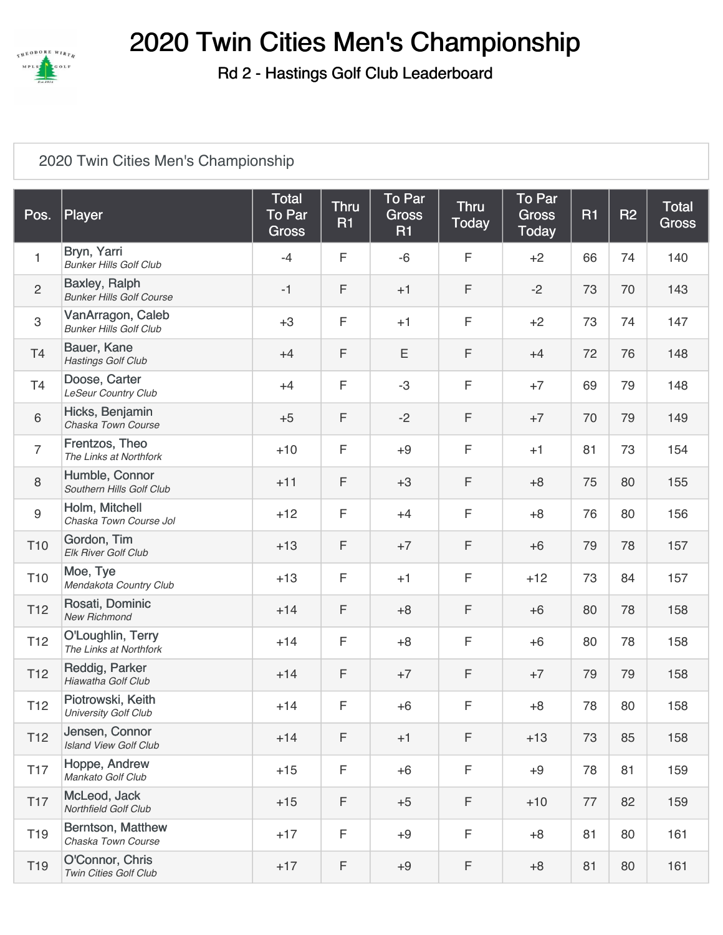

## 2020 Twin Cities Men's Championship

Rd 2 - Hastings Golf Club Leaderboard

## 2020 [Twin Cities Men's Championship](https://cdn2.golfgenius.com/v2tournaments/1641815?called_from=)

| Pos.             | Player                                             | <b>Total</b><br><b>To Par</b><br><b>Gross</b> | <b>Thru</b><br><b>R1</b> | To Par<br><b>Gross</b><br><b>R1</b> | <b>Thru</b><br><b>Today</b> | To Par<br><b>Gross</b><br><b>Today</b> | <b>R1</b> | <b>R2</b> | <b>Total</b><br><b>Gross</b> |
|------------------|----------------------------------------------------|-----------------------------------------------|--------------------------|-------------------------------------|-----------------------------|----------------------------------------|-----------|-----------|------------------------------|
| $\mathbf{1}$     | Bryn, Yarri<br><b>Bunker Hills Golf Club</b>       | $-4$                                          | F                        | $-6$                                | $\mathsf F$                 | $+2$                                   | 66        | 74        | 140                          |
| $\overline{2}$   | Baxley, Ralph<br><b>Bunker Hills Golf Course</b>   | $-1$                                          | F                        | $+1$                                | F                           | $-2$                                   | 73        | 70        | 143                          |
| $\mathbf{3}$     | VanArragon, Caleb<br><b>Bunker Hills Golf Club</b> | $+3$                                          | F                        | $+1$                                | F                           | $+2$                                   | 73        | 74        | 147                          |
| T4               | Bauer, Kane<br><b>Hastings Golf Club</b>           | $+4$                                          | F                        | E                                   | F                           | $+4$                                   | 72        | 76        | 148                          |
| T4               | Doose, Carter<br><b>LeSeur Country Club</b>        | $+4$                                          | F                        | $-3$                                | F                           | $+7$                                   | 69        | 79        | 148                          |
| 6                | Hicks, Benjamin<br>Chaska Town Course              | $+5$                                          | F                        | $-2$                                | F                           | $+7$                                   | 70        | 79        | 149                          |
| $\overline{7}$   | Frentzos, Theo<br>The Links at Northfork           | $+10$                                         | F                        | $+9$                                | F                           | $+1$                                   | 81        | 73        | 154                          |
| $\,8\,$          | Humble, Connor<br>Southern Hills Golf Club         | $+11$                                         | F                        | $+3$                                | F                           | $+8$                                   | 75        | 80        | 155                          |
| $\boldsymbol{9}$ | Holm, Mitchell<br>Chaska Town Course Jol           | $+12$                                         | F                        | $+4$                                | F                           | $+8$                                   | 76        | 80        | 156                          |
| T <sub>10</sub>  | Gordon, Tim<br>Elk River Golf Club                 | $+13$                                         | F                        | $+7$                                | F                           | $+6$                                   | 79        | 78        | 157                          |
| T <sub>10</sub>  | Moe, Tye<br>Mendakota Country Club                 | $+13$                                         | F                        | $+1$                                | F                           | $+12$                                  | 73        | 84        | 157                          |
| T <sub>12</sub>  | Rosati, Dominic<br><b>New Richmond</b>             | $+14$                                         | F                        | $+8$                                | F                           | $+6$                                   | 80        | 78        | 158                          |
| T <sub>12</sub>  | O'Loughlin, Terry<br>The Links at Northfork        | $+14$                                         | F                        | $+8$                                | F                           | $+6$                                   | 80        | 78        | 158                          |
| T <sub>12</sub>  | Reddig, Parker<br>Hiawatha Golf Club               | $+14$                                         | F                        | $+7$                                | F                           | $+7$                                   | 79        | 79        | 158                          |
| T <sub>12</sub>  | Piotrowski, Keith<br>University Golf Club          | $+14$                                         | F                        | $+6$                                | F                           | $+8$                                   | 78        | 80        | 158                          |
| T <sub>12</sub>  | Jensen, Connor<br><b>Island View Golf Club</b>     | $+14$                                         | F                        | $+1$                                | F                           | $+13$                                  | 73        | 85        | 158                          |
| <b>T17</b>       | Hoppe, Andrew<br>Mankato Golf Club                 | $+15$                                         | F                        | $+6$                                | F                           | $+9$                                   | 78        | 81        | 159                          |
| T <sub>17</sub>  | McLeod, Jack<br>Northfield Golf Club               | $+15$                                         | F                        | $+5$                                | F                           | $+10$                                  | 77        | 82        | 159                          |
| T <sub>19</sub>  | Berntson, Matthew<br>Chaska Town Course            | $+17$                                         | F                        | $+9$                                | F                           | $+8$                                   | 81        | 80        | 161                          |
| T <sub>19</sub>  | O'Connor, Chris<br>Twin Cities Golf Club           | $+17$                                         | F                        | $+9$                                | F                           | $+8$                                   | 81        | 80        | 161                          |